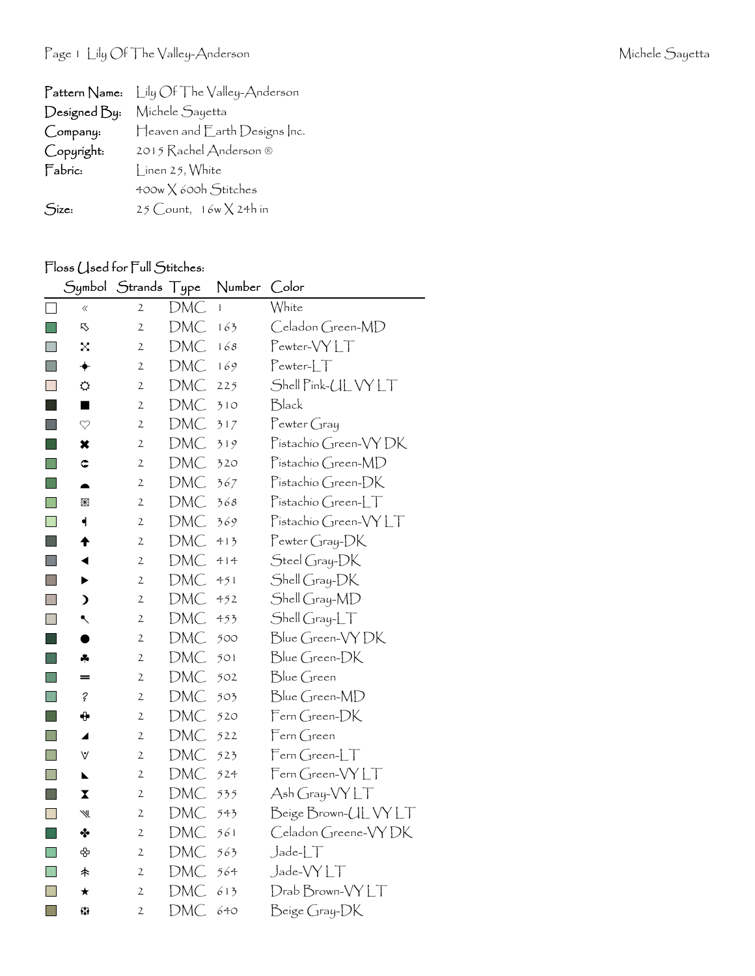| Pattern Name: | Lily Of The Valley-Anderson     |
|---------------|---------------------------------|
| Designed By:  | Michele Sayetta                 |
| Company:      | Heaven and Earth Designs Inc.   |
| Copyright:    | 2015 Rachel Anderson ®          |
| Fabric:       | $\int$ inen 25, White           |
|               | 400w X 600h Stitches            |
| Size:         | $25$ Count, $16w \times 24h$ in |

## Floss Used for Full Stitches:

|                          | Symbol                  | Strands Type   |            | Number | Color                |
|--------------------------|-------------------------|----------------|------------|--------|----------------------|
| $\Box$                   | $\ll$                   | $\overline{2}$ | DMC        | ĺ      | White                |
| <b>Tale</b>              | 叺                       | $\overline{2}$ | <b>DMC</b> | 163    | Celadon Green-MD     |
| $\blacksquare$           | $\times$                | $\mathfrak{2}$ | DMC        | 168    | Pewter-VYLT          |
| F.                       | ✦                       | $\mathfrak{2}$ | <b>DMC</b> | 169    | Pewter-LT            |
| $\overline{\phantom{a}}$ | ⇔                       | $\mathfrak{2}$ | <b>DMC</b> | 225    | Shell Pink-UL VY LT  |
| I.                       | ■                       | $\overline{2}$ | DMC        | 310    | Black                |
| Œ                        | ♡                       | $\mathfrak{2}$ | DMC        | 317    | $P$ ewter Gray       |
| l a s                    | ×                       | $\mathfrak{2}$ | DMC        | 319    | Pistachio Green-VYDK |
| H                        | ¢                       | $\mathfrak{2}$ | <b>DMC</b> | 320    | Pistachio Green-MD   |
|                          |                         | $\mathfrak{2}$ | DMC        | 367    | Pistachio Green-DK   |
| <b>Tall</b>              | $\mathbb R$             | $\mathfrak{2}$ | DMC        | 368    | Pistachio Green-LT   |
| $\Box$                   | $\blacktriangleleft$    | $\mathbf{2}$   | DMC        | 369    | Pistachio Green-VYLT |
|                          | ♠                       | $\mathfrak{2}$ | DMC        | 413    | Pewter Gray-DK       |
| $\Box$                   | ◀                       | 2              | DMC        | 414    | Steel Gray-DK        |
| F.                       | ▶                       | $\mathbf{2}$   | <b>DMC</b> | 451    | Shell Gray-DK        |
| $\mathbb{R}^n$           | $\lambda$               | $\mathbf{2}$   | DMC        | 452    | Shell Gray-MD        |
| F.                       | ↖                       | $\mathfrak{2}$ | <b>DMC</b> | 453    | Shell Gray-LT        |
| I.                       |                         | 2              | DMC        | 500    | Blue Green-VY DK     |
| <b>College</b>           | ÷                       | $\mathfrak{2}$ | DMC        | 501    | Blue Green-DK        |
| H                        | =                       | $\mathfrak{2}$ | DMC        | 502    | Blue Green           |
|                          | ?                       | $\mathfrak{2}$ | DMC        | 503    | Blue Green-MD        |
| $\mathbb{R}^n$           | ⊕                       | $\mathfrak{2}$ | DMC        | 520    | Fern Green-DK        |
| $\Box$                   | ◢                       | $\mathbf{2}$   | DMC        | 522    | Fern Green           |
| T.                       | V                       | $\mathbf{2}$   | <b>DMC</b> | 523    | Fern Green-LT        |
| $\Box$                   | N                       | $\mathfrak{2}$ | DMC        | 524    | Fern Green-VYLT      |
| H                        | $\overline{\mathbf{X}}$ | $\mathfrak{2}$ | DMC        | 535    | Ash Gray-VY LT       |
| $\mathbb{R}^n$           | ₩                       | $\mathbf{2}$   | DMC        | 543    | Beige Brown-ULVYLT   |
| <b>College</b>           | ❖                       | $\mathbf{2}$   | DMC        | 561    | Celadon Greene-VYDK  |
| <b>Tall</b>              | ♧                       | $\mathfrak{2}$ | DMC        | 563    | $J$ ade- $LT$        |
| $\Box$                   | 未                       | 2              | DMC        | 564    | Jade-VYLT            |
| $\Box$                   | $\star$                 | $\mathfrak{2}$ | DMC        | 613    | Drab Brown-VYLT      |
| $\Box$                   | 53                      | $\mathfrak{2}$ | DMC        | 640    | Beige Gray-DK        |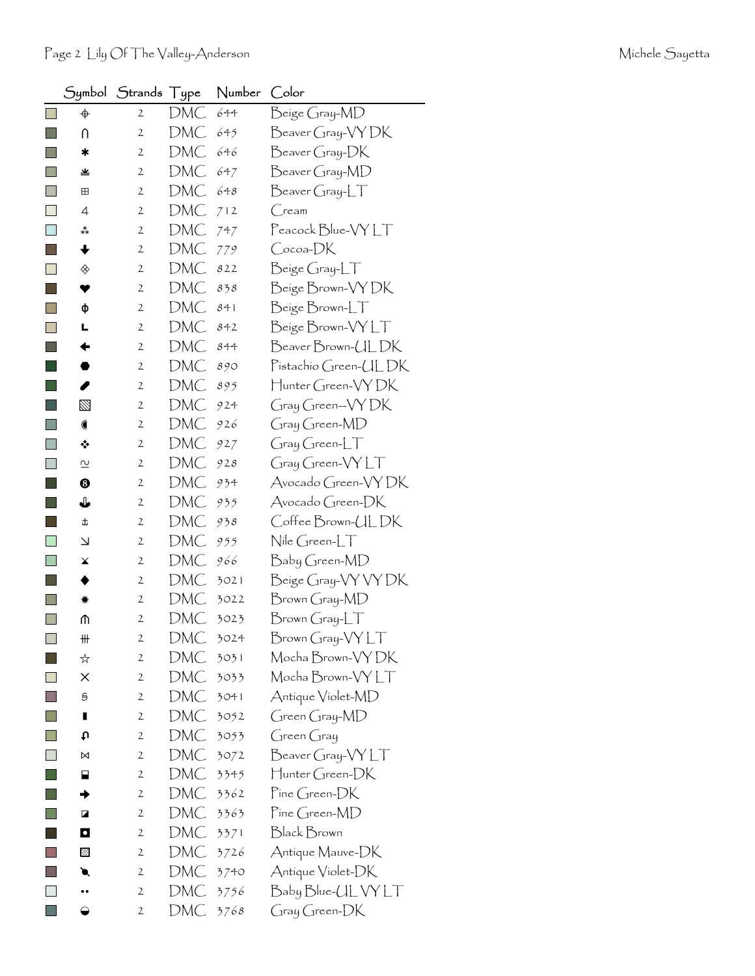|                     |                             | Symbol Strands Type |     | Number | Color                  |
|---------------------|-----------------------------|---------------------|-----|--------|------------------------|
|                     | $\color{red} \blacklozenge$ | 2                   | DMC | 644    | Beige Gray-MD          |
| ×                   | U                           | 2                   | DMC | 645    | Beaver Gray-VY DK      |
|                     | ∗                           | $\mathbf{2}$        | DMC | 646    | Beaver Gray-DK         |
| a.                  | 坐                           | $\mathbf{2}$        | DMC | 647    | Beaver Gray-MD         |
| ×                   | ⊞                           | $\mathbf{2}$        | DMC | 648    | Beaver Gray-LT         |
|                     | 4                           | $\mathbf{2}$        | DMC | 712    | $C$ ream               |
|                     | ∗*                          | $\mathbf{2}$        | DMC | 747    | Peacock Blue-VYLT      |
| ×.                  | ╈                           | $\mathbf{2}$        | DMC | 779    | Cocoa-DK               |
|                     | ◈                           | 2                   | DMC | 822    | Beige Gray-LT          |
|                     | ♥                           | $\mathbf{2}$        | DMC | 838    | Beige Brown-VY DK      |
|                     | ф                           | 2                   | DMC | 841    | Beige Brown-LT         |
| П                   | L                           | $\mathbf{2}$        | DMC | 842    | Beige Brown-VYLT       |
|                     | ←                           | 2                   | DMC | 844    | Beaver Brown-ULDK      |
|                     |                             | $\mathbf{2}$        | DMC | 890    | Pistachio Green-ULDK   |
|                     | ◢                           | 2                   | DMC | 895    | Hunter Green-VY DK     |
|                     | ⊠                           | $\mathbf{2}$        | DMC | 924    | Gray Green-VYDK        |
|                     | €                           | 2                   | DMC | 926    | Gray Green-MD          |
|                     | ❖                           | $\mathbf{2}$        | DMC | 927    | $Gray Green-LT$        |
| k.                  | $\overline{\mathsf{c}}$     | $\mathbf{2}$        | DMC | 928    | Gray Green-VYLT        |
|                     | ❸                           | $\mathbf{2}$        | DMC | 934    | Avocado Green-VY DK    |
|                     | ↓                           | $\mathbf{2}$        | DMC | 935    | Avocado Green-DK       |
|                     | t                           | $\mathbf{2}$        | DMC | 938    | Coffee Brown-ULDK      |
| <b>In the State</b> | $\overline{\phantom{0}}$    | $\mathbf{2}$        | DMC | 955    | $N$ ile Green-L $\top$ |
|                     | x                           | 2                   | DMC | 966    | Baby Green-MD          |
|                     |                             | 2                   | DMC | 3021   | Beige Gray-VY VY DK    |
|                     | ☀                           | $\mathbf{2}$        | DMC | 3022   | Brown Gray-MD          |
| ×.                  | ጠ                           | $\mathbf{2}$        | DMC | 3023   | $Brown Gray-LT$        |
| $\mathbb{R}^n$      | ₩                           | $\mathbf{2}$        | DMC | 3024   | Brown Gray-VYLT        |
|                     | ☆                           | $\mathbf{2}$        | DMC | 3031   | Mocha Brown-VY DK      |
|                     | ×                           | 2                   | DMC | 3033   | Mocha Brown-VY LT      |
|                     | 9                           | $\mathbf{2}$        | DMC | 3041   | Antique Violet-MD      |
|                     | П                           | $\mathbf{2}$        | DMC | 3052   | Green Gray-MD          |
|                     | tυ                          | $\mathbf{2}$        | DMC | 3053   | $G$ reen $G$ ray       |
|                     | ⋈                           | $\mathfrak{2}$      | DMC | 3072   | Beaver Gray-VYLT       |
|                     | ⊟                           | 2                   | DMC | 3345   | Hunter Green-DK        |
|                     |                             | 2                   | DMC | 3362   | Pine Green-DK          |
|                     | ◪                           | $\mathbf{2}$        | DMC | 3363   | Pine Green-MD          |
|                     | $\mathbf \Omega$            | 2                   | DMC | 3371   | Black Brown            |
|                     | ⊠                           | $\mathbf{2}$        | DMC | 3726   | Antique Mauve-DK       |
|                     | ◥                           | 2                   | DMC | 3740   | Antique Violet-DK      |
|                     |                             | $\mathbf{2}$        | DMC | 3756   | Baby Blue-UL VY LT     |
|                     | ◒                           | 2                   | DMC | 3768   | Gray Green-DK          |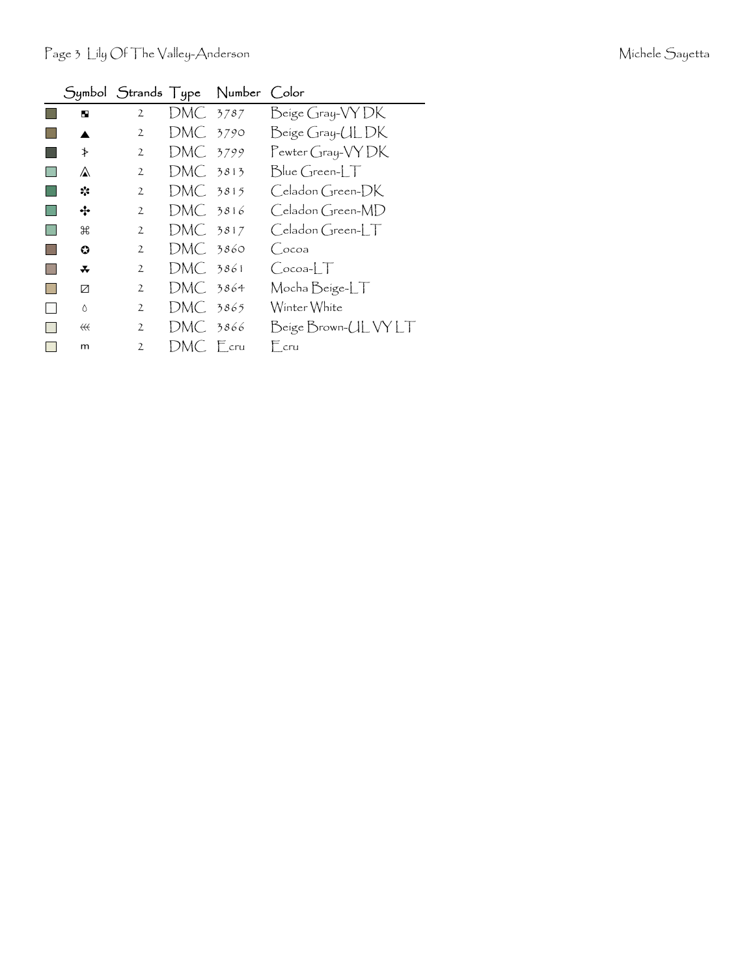|                   |                |                       | Symbol Strands Type Number | Color                                                   |
|-------------------|----------------|-----------------------|----------------------------|---------------------------------------------------------|
| ю                 | $\overline{2}$ | DMC 3787              |                            | Beige Gray-VYDK                                         |
|                   | $\overline{2}$ | $DMC$ 3790            |                            | Beige Gray-ULDK                                         |
| ≯                 | $\mathfrak{2}$ | DMC 3799              |                            | Pewter Gray-VYDK                                        |
| ⚠                 | $\mathbf{2}$   | DMC 3813              |                            | $Blue$ Green- $\Box$                                    |
| ☆                 | $\mathbf{2}$   | $DMC2$ 3815           |                            | Celadon Green-DK                                        |
| ∻                 | $\overline{2}$ | DMC 3816              |                            | $C$ eladon $G$ reen-MD                                  |
| ₩                 | $\overline{2}$ | DMC <sub>2</sub> 3817 |                            | $\bigcirc$ eladon $\bigcirc$ reen- $\bigupharpoonright$ |
| $\bullet$         | $\mathfrak{2}$ | $DMC.$ 3860           |                            | Cocoa                                                   |
| ∓                 | $\overline{2}$ | DMC 3861              |                            | $Cocoa-LT$                                              |
| И                 | $\overline{2}$ | $DMC.$ 3864           |                            | Mocha Beige-LT                                          |
| $\wedge$          | $\mathfrak{2}$ | DMC 3865              |                            | Winter White                                            |
| $\leftrightarrow$ | $\mathfrak{2}$ | DMC 3866              |                            | Beige Brown-UL VY LT                                    |
| m                 | $\mathcal{P}$  | DMC Fcru              |                            | $F_{cru}$                                               |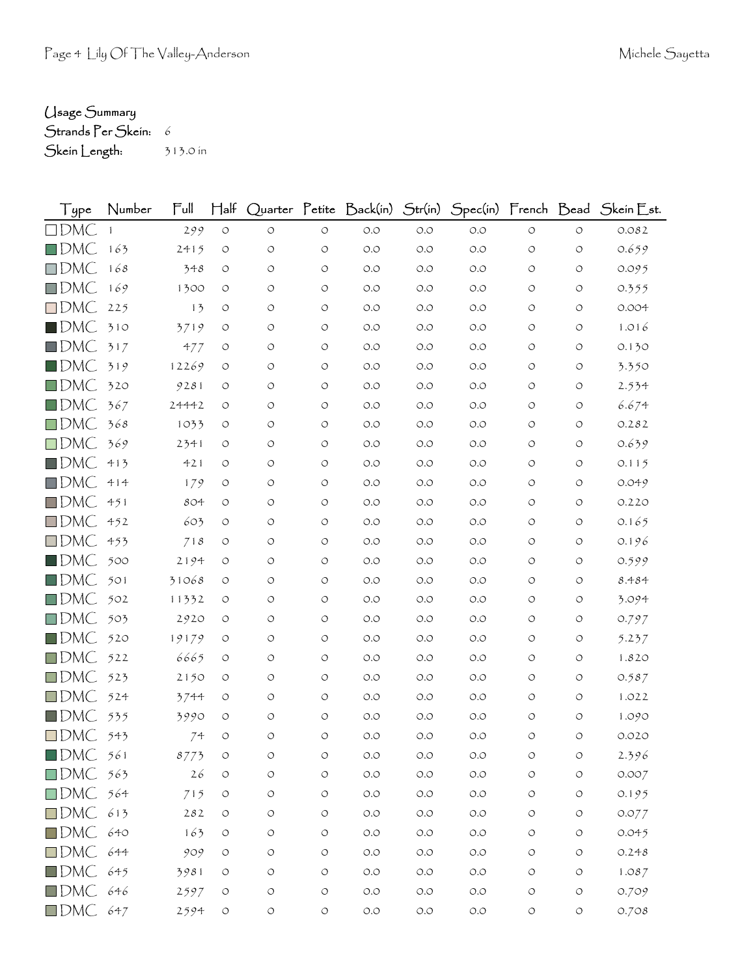## Usage Summary

Strands Per Skein: 6

Skein Length: 313.0 in

| Type                   | Number | $\mathsf{Full}$ | $\mathsf{H\mathsf{a}\mathsf{lf}}$ |                    |                    | Quarter Petite Back(in)              | Str(in) |       |                    |            | Spec(in) French Bead Skein Est. |
|------------------------|--------|-----------------|-----------------------------------|--------------------|--------------------|--------------------------------------|---------|-------|--------------------|------------|---------------------------------|
| $\square$ DMC          |        | 299             | $\circ$                           | $\bigcirc$         | $\circlearrowleft$ | $O.O$                                | $O.O$   | $O.O$ | $\bigcirc$         | $\circ$    | 0.082                           |
| $\square$ DMC          | 163    | 2415            | $\circ$                           | $\circ$            | $\circ$            | O.O                                  | O.O     | O.O   | $\circlearrowleft$ | O          | 0.659                           |
| $\square$ DMC          | 168    | 348             | O                                 | O                  | $\circ$            | O.O                                  | O.O     | O.O   | $\circ$            | $\circ$    | 0.095                           |
| $\square$ DMC          | 169    | 1300            | O                                 | O                  | $\circ$            | O.O                                  | O.O     | O.O   | $\circ$            | $\circ$    | 0.355                           |
| $\square$ DMC          | 225    | 13              | O                                 | O                  | $\circ$            | $O.O$                                | O.O     | $O.O$ | $\circ$            | O          | 0.004                           |
| $\blacksquare$ DMC     | 310    | 3719            | O                                 | O                  | $\circ$            | $O.O$                                | O.O     | O.O   | $\circ$            | $\circ$    | 1.016                           |
| $\square$ DMC          | 317    | 477             | $\circ$                           | O                  | $\circ$            | O.O                                  | O.O     | O.O   | $\circ$            | O          | 0.130                           |
| $\blacksquare$ DMC     | 319    | 12269           | O                                 | O                  | $\circ$            | O.O                                  | O.O     | O.O   | $\circ$            | O          | 3.350                           |
| $\square$ DMC          | 320    | 9281            | O                                 | $\circ$            | $\circ$            | O.O                                  | O.O     | O.O   | $\circ$            | $\circ$    | 2.534                           |
| $\square$ DMC          | 367    | 24442           | $\circ$                           | O                  | $\circ$            | O.O                                  | O.O     | O.O   | $\circ$            | O          | 6.674                           |
| $\square$ DMC          | 368    | 1033            | O                                 | O                  | $\circ$            | O.O                                  | O.O     | $O.O$ | $\circ$            | $\circ$    | 0.282                           |
| $\square$ DMC          | 369    | 2341            | O                                 | O                  | $\circ$            | O.O                                  | O.O     | O.O   | $\circ$            | $\circ$    | 0.639                           |
| $\square$ DMC          | 413    | 421             | $\circ$                           | O                  | $\circ$            | O.O                                  | O.O     | O.O   | $\circ$            | O          | 0.115                           |
| $\square$ DMC          | 414    | 179             | O                                 | $\circ$            | $\circ$            | O.O                                  | O.O     | $O.O$ | $\circ$            | $\circ$    | 0.049                           |
| $\square$ DMC          | 451    | 804             | $\circ$                           | O                  | $\circ$            | O.O                                  | O.O     | O.O   | $\circ$            | O          | 0.220                           |
| $\square$ DMC          | 452    | 603             | O                                 | O                  | $\circ$            | O.O                                  | O.O     | $O.O$ | $\circ$            | O          | 0.165                           |
| $\square$ DMC          | 453    | 718             | O                                 | $\circ$            | $\circ$            | O.O                                  | O.O     | O.O   | $\circ$            | $\circ$    | 0.196                           |
| $\blacksquare$ DMC     | 500    | 2194            | $\circ$                           | O                  | $\circ$            | O.O                                  | O.O     | $O.O$ | $\circlearrowleft$ | O          | 0.599                           |
| $\square$ DMC          | 501    | 31068           | O                                 | O                  | $\circ$            | $O.O$                                | O.O     | O.O   | $\circ$            | O          | 8.484                           |
| $\square$ DMC          | 502    | 11332           | $\circ$                           | O                  | $\circ$            | O.O                                  | O.O     | $O.O$ | $\circ$            | $\circ$    | 3.094                           |
| $\square$ DMC          | 503    | 2920            | O                                 | O                  | $\circ$            | O.O                                  | O.O     | $O.O$ | $\circ$            | $\circ$    | 0.797                           |
| $\square$ DMC          | 520    | 19179           | O                                 | O                  | $\circ$            | O.O                                  | O.O     | O.O   | $\circ$            | $\circ$    | 5.237                           |
| $\square$ DMC          | 522    | 6665            | O                                 | O                  | $\circ$            | O.O                                  | O.O     | O.O   | $\circ$            | $\circ$    | 1.820                           |
| $\square$ DMC          | 523    | 2150            | O                                 | O                  | $\circ$            | $O.O$                                | O.O     | O.O   | $\circ$            | O          | 0.587                           |
| $\square$ DMC          | 524    | 3744            | O                                 | O                  | $\circ$            | O.O                                  | O.O     | O.O   | $\circ$            | $\circ$    | 1.022                           |
| $\blacksquare$ DMC     | 535    | 3990            | O                                 | O                  | $\circ$            | O.O                                  | O.O     | O.O   | $\circ$            | $\circ$    | 1.090                           |
| $\square$ DMC          | 543    | 74              | $\circ$                           | $\circ$            | $\circ$            | $O.O$                                | O.O     | O.O   | O                  | O          | 0.020                           |
| $\blacksquare$ DMC     | 561    | 8773            | $\bigcirc$                        | $\circ$            | $\circ$            | $O.O$                                | O.O     | O.O   | O                  | O          | 2.396                           |
| $\Box$ DMC 563         |        | 26              | $\circlearrowleft$                | O                  | $\circ$            | $O.O$                                | O.O     | $O.O$ | $\circlearrowleft$ | $\bigcirc$ | 0.007                           |
| $\Box$ DMC 564         |        | 715             | $\circlearrowleft$                | $\bigcirc$         | $\circ$            | $\circlearrowleft.\circlearrowright$ | $O.O$   | $O.O$ | $\circlearrowleft$ | $\bigcirc$ | 0.195                           |
| $\square$ DMC          | 613    | 282             | $\circlearrowleft$                | O                  | $\circ$            | $O.O$                                | $O.O$   | $O.O$ | $\circlearrowleft$ | $\bigcirc$ | 0.077                           |
| $\Box$ DMC 640         |        | 163             | $\circlearrowleft$                | O                  | $\circ$            | $O.O$                                | $O.O$   | $O.O$ | $\circ$            | $\bigcirc$ | 0.045                           |
| $\square$ DMC          | 644    | 909             | $\circ$                           | $\circlearrowleft$ | $\circ$            | $O.O$                                | $O.O$   | $O.O$ | $\circ$            | O          | 0.248                           |
| $\blacksquare$ DMC     | 645    | 3981            | O                                 | O                  | $\circ$            | $O.O$                                | $O.O$   | $O.O$ | $\circ$            | $\bigcirc$ | 1.087                           |
| $\blacksquare$ DMC 646 |        | 2597            | O                                 | O                  | $\circ$            | $O.O$                                | O.O     | O.O   | $\circlearrowleft$ | $\circ$    | 0.709                           |
| $\blacksquare$ DMC 647 |        | 2594            | $\circ$                           | $\bigcirc$         | $\bigcirc$         | $\circlearrowleft.\circlearrowright$ | $O.O$   | $O.O$ | $\circlearrowleft$ | $\circ$    | 0.708                           |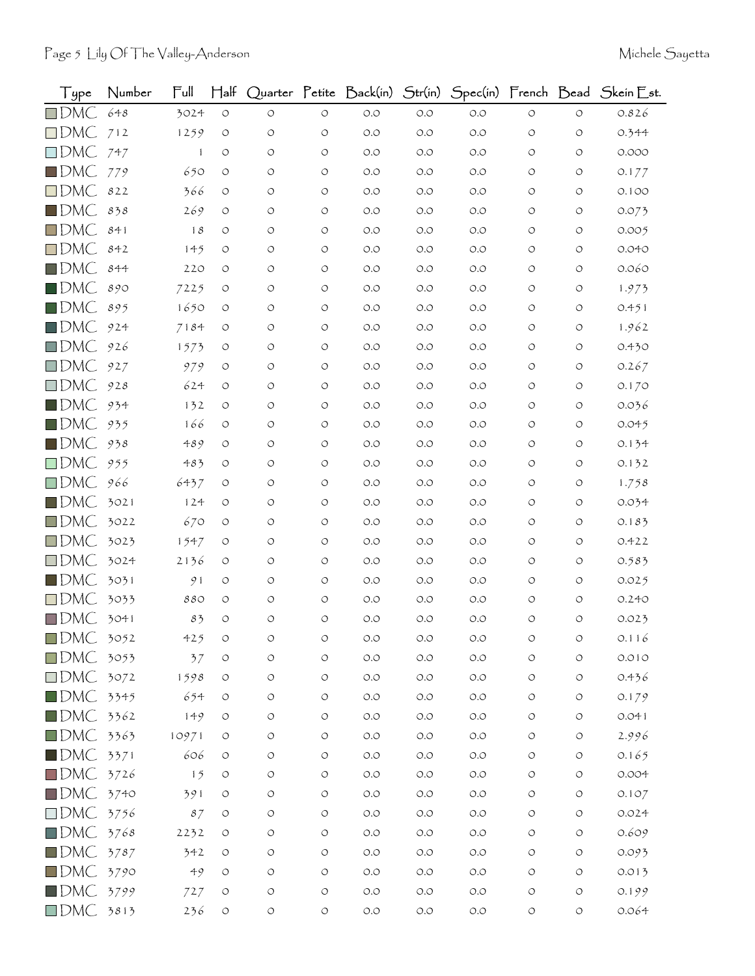| Type               | Number | Full         | $\mathsf{H\mathsf{a}\mathsf{lf}}$ |                    |                    | Quarter Petite Back(in) | Str(in) |       |                    |                    | Spec(in) French Bead Skein Est. |
|--------------------|--------|--------------|-----------------------------------|--------------------|--------------------|-------------------------|---------|-------|--------------------|--------------------|---------------------------------|
| $\square$ DMC      | 648    | 3024         | $\circlearrowleft$                | $\circ$            | $\circlearrowleft$ | O.O                     | $O.O$   | O.O   | $\circ$            | $\circ$            | 0.826                           |
| $\square$ DMC      | 712    | 1259         | $\circlearrowleft$                | $\circ$            | $\circ$            | O.O                     | O.O     | O.O   | O                  | $\circ$            | 0.344                           |
| $\square$ DMC      | 747    | $\mathbf{1}$ | O                                 | $\circ$            | $\circ$            | O.O                     | O.O     | O.O   | $\circ$            | $\bigcirc$         | 0.000                           |
| $\blacksquare$ DMC | 779    | 650          | O                                 | O                  | $\circ$            | O.O                     | O.O     | O.O   | O                  | $\circ$            | 0.177                           |
| $\square$ DMC      | 822    | 366          | O                                 | O                  | $\circ$            | O.O                     | O.O     | O.O   | O                  | $\circ$            | 0.100                           |
| $\blacksquare$ DMC | 838    | 269          | O                                 | $\circ$            | $\circ$            | O.O                     | O.O     | O.O   | O                  | $\circ$            | 0.073                           |
| $\square$ DMC      | 841    | 18           | O                                 | O                  | $\circ$            | O.O                     | O.O     | O.O   | O                  | O                  | 0.005                           |
| $\square$ DMC      | 842    | 145          | O                                 | O                  | $\circ$            | O.O                     | O.O     | O.O   | O                  | O                  | 0.040                           |
| $\blacksquare$ DMC | 844    | 220          | O                                 | $\circ$            | $\circ$            | O.O                     | O.O     | O.O   | O                  | O                  | 0.060                           |
| $\blacksquare$ DMC | 890    | 7225         | O                                 | O                  | $\circ$            | O.O                     | O.O     | O.O   | O                  | O                  | 1.973                           |
| $\square$ DMC      | 895    | 1650         | O                                 | O                  | O                  | O.O                     | O.O     | O.O   | O                  | $\circ$            | 0.451                           |
| $\blacksquare$ DMC | 924    | 7184         | O                                 | O                  | $\circ$            | O.O                     | O.O     | O.O   | O                  | $\circlearrowleft$ | 1.962                           |
| $\square$ DMC      | 926    | 1573         | O                                 | O                  | $\circ$            | O.O                     | O.O     | O.O   | O                  | O                  | 0.430                           |
| $\square$ DMC      | 927    | 979          | O                                 | $\circ$            | O                  | O.O                     | O.O     | O.O   | O                  | $\circ$            | 0.267                           |
| $\square$ DMC      | 928    | 624          | O                                 | O                  | $\circ$            | O.O                     | O.O     | O.O   | O                  | $\bigcirc$         | 0.170                           |
| $\blacksquare$ DMC | 934    | 132          | O                                 | O                  | $\circ$            | $O.O$                   | O.O     | O.O   | O                  | O                  | 0.036                           |
| $\blacksquare$ DMC | 935    | 166          | O                                 | $\circ$            | $\circ$            | O.O                     | O.O     | O.O   | O                  | O                  | 0.045                           |
| $\blacksquare$ DMC | 938    | 489          | O                                 | O                  | $\circ$            | O.O                     | O.O     | O.O   | O                  | O                  | 0.134                           |
| $\square$ DMC      | 955    | 483          | O                                 | O                  | $\circ$            | O.O                     | O.O     | O.O   | O                  | O                  | 0.132                           |
| $\square$ DMC      | 966    | 6437         | O                                 | O                  | O                  | O.O                     | O.O     | O.O   | O                  | $\circ$            | 1.758                           |
| $\square$ DMC      | 3021   | 124          | O                                 | O                  | $\circ$            | O.O                     | O.O     | O.O   | O                  | $\circ$            | 0.034                           |
| $\square$ DMC      | 3022   | 670          | O                                 | O                  | O                  | O.O                     | O.O     | O.O   | O                  | $\circ$            | 0.183                           |
| $\square$ DMC      | 3023   | 1547         | $\circ$                           | O                  | $\circ$            | O.O                     | O.O     | O.O   | O                  | $\circ$            | 0.422                           |
| $\square$ DMC      | 3024   | 2136         | O                                 | O                  | $\circ$            | O.O                     | O.O     | O.O   | O                  | $\circ$            | 0.583                           |
| $\blacksquare$ DMC | 3031   | 91           | O                                 | O                  | $\circ$            | O.O                     | O.O     | O.O   | O                  | $\circ$            | 0.025                           |
| $\square$ DMC      | 3033   | 880          | O                                 | O                  | $\circ$            | O.O                     | O.O     | O.O   | O                  | O                  | 0.240                           |
| $\square$ DMC      | 3041   | 83           | $\circ$                           | $\circ$            | $\circ$            | O.O                     | O.O     | O.O   | O                  | $\circ$            | 0.023                           |
| $\square$ DMC      | 3052   | 425          | O                                 | O                  | O                  | O.O                     | O.O     | O.O   | O                  | O                  | 0.116                           |
| $\square$ DMC      | 3053   | 37           | $\circlearrowleft$                | $\circ$            | $\circ$            | $O.O$                   | $O.O$   | $O.O$ | O                  | $\circ$            | 0.010                           |
| $\square$ DMC      | 3072   | 1598         | O                                 | $\circlearrowleft$ | $\circlearrowleft$ | O.O                     | $O.O$   | $O.O$ | $\bigcirc$         | $\bigcirc$         | 0.436                           |
| $\blacksquare$ DMC | 3345   | 654          | $\circ$                           | О                  | $\circlearrowleft$ | $O.O$                   | O.O     | O.O   | O                  | $\circ$            | 0.179                           |
| $\blacksquare$ DMC | 3362   | 149          | O                                 | O                  | $\circlearrowleft$ | O.O                     | $O.O$   | $O.O$ | O                  | $\bigcirc$         | 0.041                           |
| $\square$ DMC      | 3363   | 10971        | O                                 | $\circlearrowleft$ | $\bigcirc$         | O.O                     | $O.O$   | $O.O$ | O                  | $\circ$            | 2.996                           |
| $\blacksquare$ DMC | 3371   | 606          | $\circ$                           | O                  | $\circlearrowleft$ | $O.O$                   | O.O     | O.O   | O                  | $\circlearrowleft$ | 0.165                           |
| $\square$ DMC      | 3726   | 15           | O                                 | O                  | $\circlearrowleft$ | O.O                     | O.O     | $O.O$ | O                  | $\circ$            | 0.004                           |
| $\square$ DMC      | 3740   | 391          | O                                 | $\circ$            | $\bigcirc$         | O.O                     | $O.O$   | $O.O$ | O                  | $\bigcirc$         | 0.107                           |
| $\square$ DMC      | 3756   | 87           | $\circlearrowleft$                | О                  | $\circlearrowleft$ | $O.O$                   | $O.O$   | $O.O$ | O                  | $\bigcirc$         | 0.024                           |
| $\square$ DMC      | 3768   | 2232         | O                                 | O                  | O                  | O.O                     | O.O     | $O.O$ | O                  | $\circ$            | 0.609                           |
| $\blacksquare$ DMC | 3787   | 342          | O                                 | $\circ$            | $\circlearrowleft$ | O.O                     | $O.O$   | $O.O$ | O                  | $\circlearrowleft$ | 0.093                           |
| $\blacksquare$ DMC | 3790   | 49           | O                                 | O                  | $\circlearrowleft$ | O.O                     | $O.O$   | $O.O$ | O                  | $\circlearrowleft$ | 0.013                           |
| $\blacksquare$ DMC | 3799   | 727          | O                                 | $\circ$            | $\bigcirc$         | $O.O$                   | $O.O$   | $O.O$ | O                  | $\circlearrowleft$ | 0.199                           |
| $\square$ DMC      | 3813   | 236          | $\circlearrowleft$                | $\bigcirc$         | $\circlearrowleft$ | O.O                     | $O.O$   | $O.O$ | $\circlearrowleft$ | $\bigcirc$         | 0.064                           |